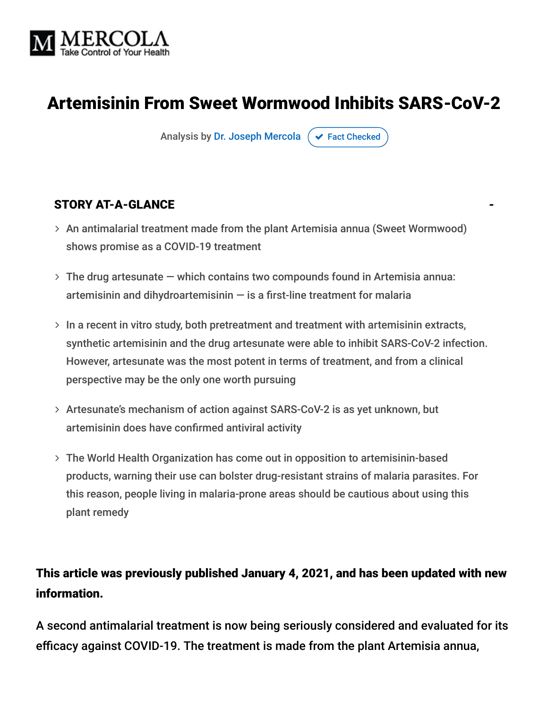

# Artemisinin From Sweet Wormwood Inhibits SARS-CoV-2

Analysis by [Dr. Joseph Mercola](https://www.mercola.com/forms/background.htm)  $\sigma$  [Fact Checked](javascript:void(0))

#### STORY AT-A-GLANCE

- An antimalarial treatment made from the plant Artemisia annua (Sweet Wormwood) shows promise as a COVID-19 treatment
- The drug artesunate which contains two compounds found in Artemisia annua: artemisinin and dihydroartemisinin  $-$  is a first-line treatment for malaria
- $>$  In a recent in vitro study, both pretreatment and treatment with artemisinin extracts, synthetic artemisinin and the drug artesunate were able to inhibit SARS-CoV-2 infection. However, artesunate was the most potent in terms of treatment, and from a clinical perspective may be the only one worth pursuing
- Artesunate's mechanism of action against SARS-CoV-2 is as yet unknown, but artemisinin does have confirmed antiviral activity
- The World Health Organization has come out in opposition to artemisinin-based products, warning their use can bolster drug-resistant strains of malaria parasites. For this reason, people living in malaria-prone areas should be cautious about using this plant remedy

## This article was previously published January 4, 2021, and has been updated with new information.

A second antimalarial treatment is now being seriously considered and evaluated for its efficacy against COVID-19. The treatment is made from the plant Artemisia annua,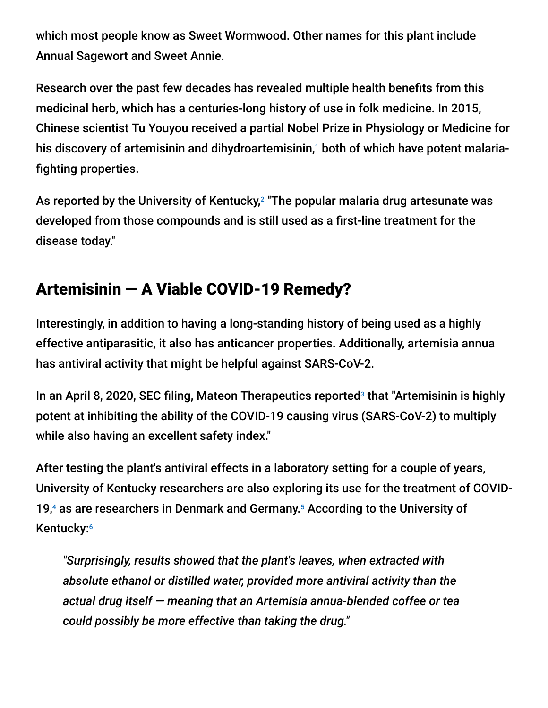which most people know as Sweet Wormwood. Other names for this plant include Annual Sagewort and Sweet Annie.

Research over the past few decades has revealed multiple health benefits from this medicinal herb, which has a centuries-long history of use in folk medicine. In 2015, Chinese scientist Tu Youyou received a partial Nobel Prize in Physiology or Medicine for his discovery of artemisinin and dihydroartemisinin,1 both of which have potent malariafighting properties.

As reported by the University of Kentucky, $^2$  "The popular malaria drug artesunate was developed from those compounds and is still used as a first-line treatment for the disease today."

# Artemisinin — A Viable COVID-19 Remedy?

Interestingly, in addition to having a long-standing history of being used as a highly effective antiparasitic, it also has anticancer properties. Additionally, artemisia annua has antiviral activity that might be helpful against SARS-CoV-2.

In an April 8, 2020, SEC filing, Mateon Therapeutics reported<sup>3</sup> that "Artemisinin is highly potent at inhibiting the ability of the COVID-19 causing virus (SARS-CoV-2) to multiply while also having an excellent safety index."

After testing the plant's antiviral effects in a laboratory setting for a couple of years, University of Kentucky researchers are also exploring its use for the treatment of COVID-19, $4$  as are researchers in Denmark and Germany.<sup>5</sup> According to the University of Kentucky: 6

*"Surprisingly, results showed that the plant's leaves, when extracted with absolute ethanol or distilled water, provided more antiviral activity than the actual drug itself — meaning that an Artemisia annua-blended coffee or tea could possibly be more effective than taking the drug."*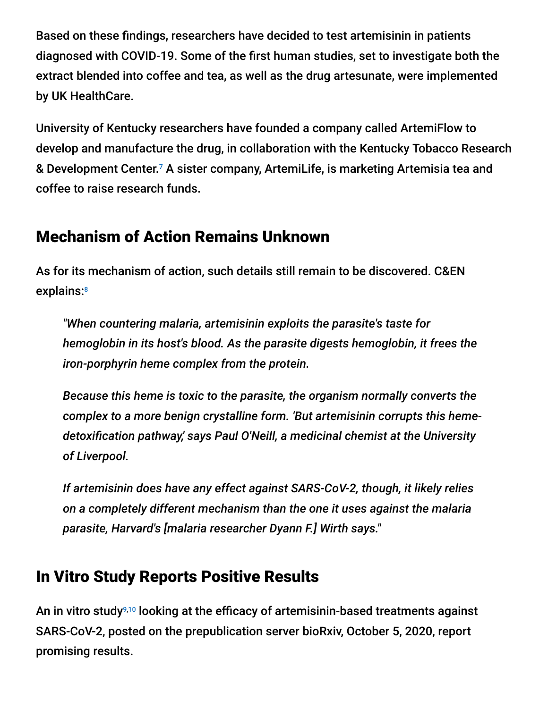Based on these findings, researchers have decided to test artemisinin in patients diagnosed with COVID-19. Some of the first human studies, set to investigate both the extract blended into coffee and tea, as well as the drug artesunate, were implemented by UK HealthCare.

University of Kentucky researchers have founded a company called ArtemiFlow to develop and manufacture the drug, in collaboration with the Kentucky Tobacco Research & Development Center.<sup>7</sup> A sister company, ArtemiLife, is marketing Artemisia tea and coffee to raise research funds.

## Mechanism of Action Remains Unknown

As for its mechanism of action, such details still remain to be discovered. C&EN explains: 8

*"When countering malaria, artemisinin exploits the parasite's taste for hemoglobin in its host's blood. As the parasite digests hemoglobin, it frees the iron-porphyrin heme complex from the protein.*

*Because this heme is toxic to the parasite, the organism normally converts the complex to a more benign crystalline form. 'But artemisinin corrupts this hemedetoxification pathway,' says Paul O'Neill, a medicinal chemist at the University of Liverpool.*

*If artemisinin does have any effect against SARS-CoV-2, though, it likely relies on a completely different mechanism than the one it uses against the malaria parasite, Harvard's [malaria researcher Dyann F.] Wirth says."*

# In Vitro Study Reports Positive Results

An in vitro study<sup>9,10</sup> looking at the efficacy of artemisinin-based treatments against SARS-CoV-2, posted on the prepublication server bioRxiv, October 5, 2020, report promising results.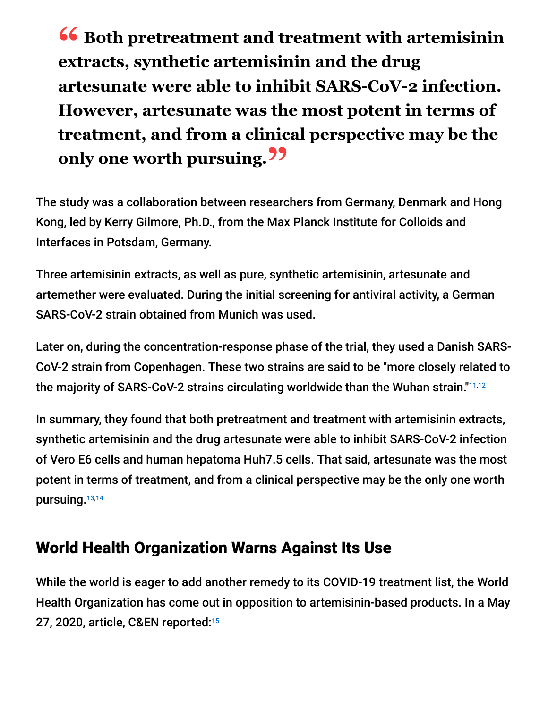**<sup>66</sup>** Both pretreatment and treatment with artemisinin<br>extracts synthetic artemisinin and the drug **extracts, synthetic artemisinin and the drug artesunate were able to inhibit SARS-CoV-2 infection. However, artesunate was the most potent in terms of treatment, and from a clinical perspective may be the only one worth pursuing."**

The study was a collaboration between researchers from Germany, Denmark and Hong Kong, led by Kerry Gilmore, Ph.D., from the Max Planck Institute for Colloids and Interfaces in Potsdam, Germany.

Three artemisinin extracts, as well as pure, synthetic artemisinin, artesunate and artemether were evaluated. During the initial screening for antiviral activity, a German SARS-CoV-2 strain obtained from Munich was used.

Later on, during the concentration-response phase of the trial, they used a Danish SARS-CoV-2 strain from Copenhagen. These two strains are said to be "more closely related to the majority of SARS-CoV-2 strains circulating worldwide than the Wuhan strain."11,12

In summary, they found that both pretreatment and treatment with artemisinin extracts, synthetic artemisinin and the drug artesunate were able to inhibit SARS-CoV-2 infection of Vero E6 cells and human hepatoma Huh7.5 cells. That said, artesunate was the most potent in terms of treatment, and from a clinical perspective may be the only one worth pursuing. 13,14

# World Health Organization Warns Against Its Use

While the world is eager to add another remedy to its COVID-19 treatment list, the World Health Organization has come out in opposition to artemisinin-based products. In a May 27, 2020, article, C&EN reported: 15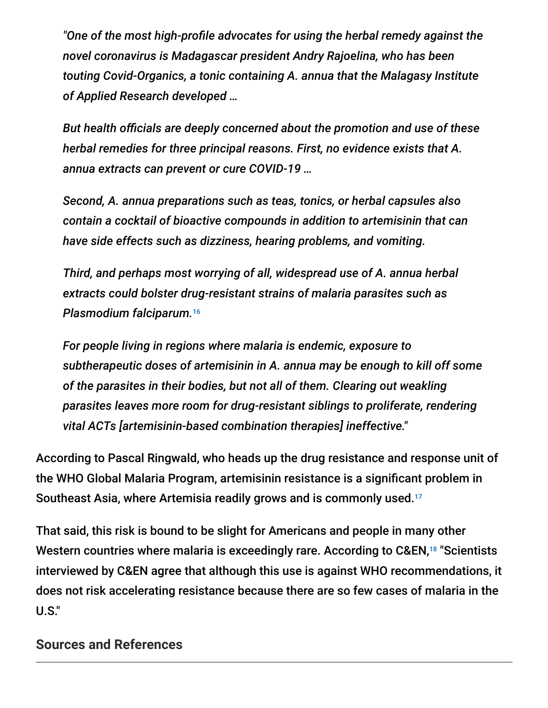*"One of the most high-profile advocates for using the herbal remedy against the novel coronavirus is Madagascar president Andry Rajoelina, who has been touting Covid-Organics, a tonic containing A. annua that the Malagasy Institute of Applied Research developed …*

*But health officials are deeply concerned about the promotion and use of these herbal remedies for three principal reasons. First, no evidence exists that A. annua extracts can prevent or cure COVID-19 …*

*Second, A. annua preparations such as teas, tonics, or herbal capsules also contain a cocktail of bioactive compounds in addition to artemisinin that can have side effects such as dizziness, hearing problems, and vomiting.*

*Third, and perhaps most worrying of all, widespread use of A. annua herbal extracts could bolster drug-resistant strains of malaria parasites such as Plasmodium falciparum.* 16

*For people living in regions where malaria is endemic, exposure to subtherapeutic doses of artemisinin in A. annua may be enough to kill off some of the parasites in their bodies, but not all of them. Clearing out weakling parasites leaves more room for drug-resistant siblings to proliferate, rendering vital ACTs [artemisinin-based combination therapies] ineffective."*

According to Pascal Ringwald, who heads up the drug resistance and response unit of the WHO Global Malaria Program, artemisinin resistance is a significant problem in Southeast Asia, where Artemisia readily grows and is commonly used. 17

That said, this risk is bound to be slight for Americans and people in many other Western countries where malaria is exceedingly rare. According to C&EN,<sup>18</sup> "Scientists interviewed by C&EN agree that although this use is against WHO recommendations, it does not risk accelerating resistance because there are so few cases of malaria in the U.S."

### **Sources and References**